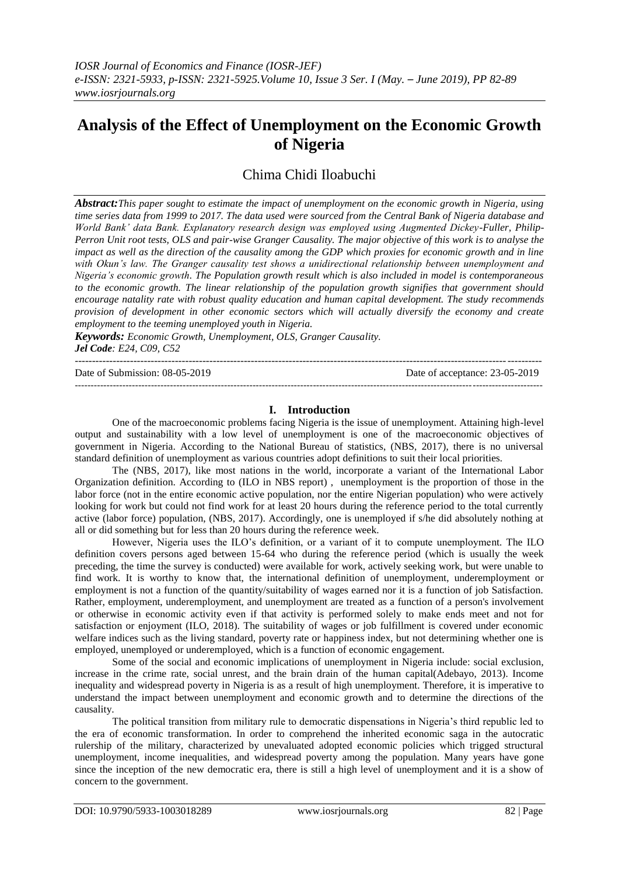# **Analysis of the Effect of Unemployment on the Economic Growth of Nigeria**

# Chima Chidi Iloabuchi

*Abstract:This paper sought to estimate the impact of unemployment on the economic growth in Nigeria, using time series data from 1999 to 2017. The data used were sourced from the Central Bank of Nigeria database and World Bank' data Bank. Explanatory research design was employed using Augmented Dickey-Fuller, Philip-Perron Unit root tests, OLS and pair-wise Granger Causality. The major objective of this work is to analyse the impact as well as the direction of the causality among the GDP which proxies for economic growth and in line with Okun's law. The Granger causality test shows a unidirectional relationship between unemployment and Nigeria's economic growth. The Population growth result which is also included in model is contemporaneous to the economic growth. The linear relationship of the population growth signifies that government should encourage natality rate with robust quality education and human capital development. The study recommends provision of development in other economic sectors which will actually diversify the economy and create employment to the teeming unemployed youth in Nigeria.*

*Keywords: Economic Growth, Unemployment, OLS, Granger Causality. Jel Code: E24, C09, C52*  $-1.1$ 

Date of Submission: 08-05-2019 Date of acceptance: 23-05-2019

# **I. Introduction**

---------------------------------------------------------------------------------------------------------------------------------------------------

One of the macroeconomic problems facing Nigeria is the issue of unemployment. Attaining high-level output and sustainability with a low level of unemployment is one of the macroeconomic objectives of government in Nigeria. According to the National Bureau of statistics, (NBS, 2017), there is no universal standard definition of unemployment as various countries adopt definitions to suit their local priorities.

The (NBS, 2017), like most nations in the world, incorporate a variant of the International Labor Organization definition. According to (ILO in NBS report) , unemployment is the proportion of those in the labor force (not in the entire economic active population, nor the entire Nigerian population) who were actively looking for work but could not find work for at least 20 hours during the reference period to the total currently active (labor force) population, (NBS, 2017). Accordingly, one is unemployed if s/he did absolutely nothing at all or did something but for less than 20 hours during the reference week.

However, Nigeria uses the ILO"s definition, or a variant of it to compute unemployment. The ILO definition covers persons aged between 15-64 who during the reference period (which is usually the week preceding, the time the survey is conducted) were available for work, actively seeking work, but were unable to find work. It is worthy to know that, the international definition of unemployment, underemployment or employment is not a function of the quantity/suitability of wages earned nor it is a function of job Satisfaction. Rather, employment, underemployment, and unemployment are treated as a function of a person's involvement or otherwise in economic activity even if that activity is performed solely to make ends meet and not for satisfaction or enjoyment (ILO, 2018). The suitability of wages or job fulfillment is covered under economic welfare indices such as the living standard, poverty rate or happiness index, but not determining whether one is employed, unemployed or underemployed, which is a function of economic engagement.

Some of the social and economic implications of unemployment in Nigeria include: social exclusion, increase in the crime rate, social unrest, and the brain drain of the human capital(Adebayo, 2013). Income inequality and widespread poverty in Nigeria is as a result of high unemployment. Therefore, it is imperative to understand the impact between unemployment and economic growth and to determine the directions of the causality.

The political transition from military rule to democratic dispensations in Nigeria"s third republic led to the era of economic transformation. In order to comprehend the inherited economic saga in the autocratic rulership of the military, characterized by unevaluated adopted economic policies which trigged structural unemployment, income inequalities, and widespread poverty among the population. Many years have gone since the inception of the new democratic era, there is still a high level of unemployment and it is a show of concern to the government.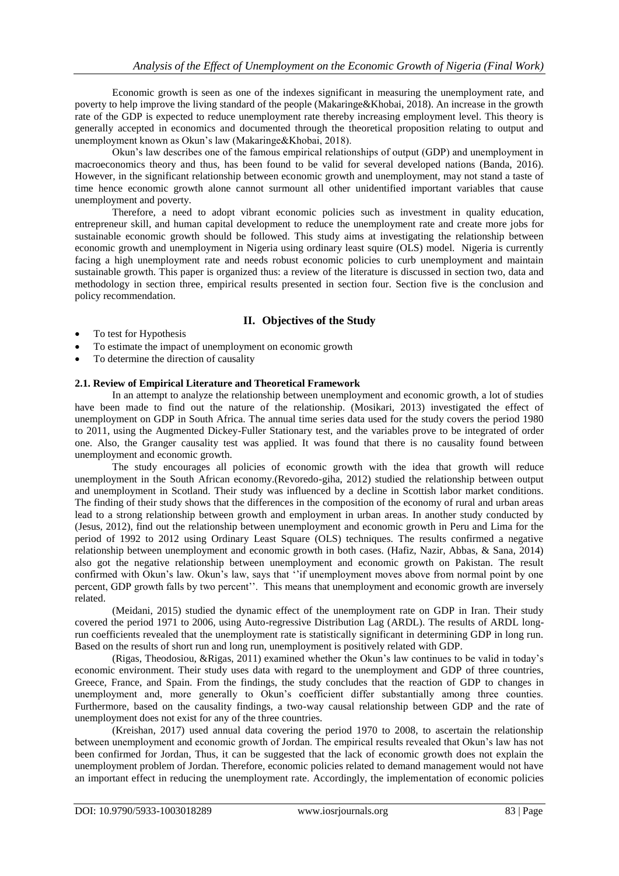Economic growth is seen as one of the indexes significant in measuring the unemployment rate, and poverty to help improve the living standard of the people (Makaringe&Khobai, 2018). An increase in the growth rate of the GDP is expected to reduce unemployment rate thereby increasing employment level. This theory is generally accepted in economics and documented through the theoretical proposition relating to output and unemployment known as Okun"s law (Makaringe&Khobai, 2018).

Okun"s law describes one of the famous empirical relationships of output (GDP) and unemployment in macroeconomics theory and thus, has been found to be valid for several developed nations (Banda, 2016). However, in the significant relationship between economic growth and unemployment, may not stand a taste of time hence economic growth alone cannot surmount all other unidentified important variables that cause unemployment and poverty.

Therefore, a need to adopt vibrant economic policies such as investment in quality education, entrepreneur skill, and human capital development to reduce the unemployment rate and create more jobs for sustainable economic growth should be followed. This study aims at investigating the relationship between economic growth and unemployment in Nigeria using ordinary least squire (OLS) model. Nigeria is currently facing a high unemployment rate and needs robust economic policies to curb unemployment and maintain sustainable growth. This paper is organized thus: a review of the literature is discussed in section two, data and methodology in section three, empirical results presented in section four. Section five is the conclusion and policy recommendation.

# **II. Objectives of the Study**

- To test for Hypothesis
- To estimate the impact of unemployment on economic growth
- To determine the direction of causality

#### **2.1. Review of Empirical Literature and Theoretical Framework**

In an attempt to analyze the relationship between unemployment and economic growth, a lot of studies have been made to find out the nature of the relationship. (Mosikari, 2013) investigated the effect of unemployment on GDP in South Africa. The annual time series data used for the study covers the period 1980 to 2011, using the Augmented Dickey-Fuller Stationary test, and the variables prove to be integrated of order one. Also, the Granger causality test was applied. It was found that there is no causality found between unemployment and economic growth.

The study encourages all policies of economic growth with the idea that growth will reduce unemployment in the South African economy.(Revoredo-giha, 2012) studied the relationship between output and unemployment in Scotland. Their study was influenced by a decline in Scottish labor market conditions. The finding of their study shows that the differences in the composition of the economy of rural and urban areas lead to a strong relationship between growth and employment in urban areas. In another study conducted by (Jesus, 2012), find out the relationship between unemployment and economic growth in Peru and Lima for the period of 1992 to 2012 using Ordinary Least Square (OLS) techniques. The results confirmed a negative relationship between unemployment and economic growth in both cases. (Hafiz, Nazir, Abbas, & Sana, 2014) also got the negative relationship between unemployment and economic growth on Pakistan. The result confirmed with Okun's law. Okun's law, says that "if unemployment moves above from normal point by one percent, GDP growth falls by two percent"". This means that unemployment and economic growth are inversely related.

(Meidani, 2015) studied the dynamic effect of the unemployment rate on GDP in Iran. Their study covered the period 1971 to 2006, using Auto-regressive Distribution Lag (ARDL). The results of ARDL longrun coefficients revealed that the unemployment rate is statistically significant in determining GDP in long run. Based on the results of short run and long run, unemployment is positively related with GDP.

(Rigas, Theodosiou, &Rigas, 2011) examined whether the Okun"s law continues to be valid in today"s economic environment. Their study uses data with regard to the unemployment and GDP of three countries, Greece, France, and Spain. From the findings, the study concludes that the reaction of GDP to changes in unemployment and, more generally to Okun"s coefficient differ substantially among three counties. Furthermore, based on the causality findings, a two-way causal relationship between GDP and the rate of unemployment does not exist for any of the three countries.

(Kreishan, 2017) used annual data covering the period 1970 to 2008, to ascertain the relationship between unemployment and economic growth of Jordan. The empirical results revealed that Okun"s law has not been confirmed for Jordan, Thus, it can be suggested that the lack of economic growth does not explain the unemployment problem of Jordan. Therefore, economic policies related to demand management would not have an important effect in reducing the unemployment rate. Accordingly, the implementation of economic policies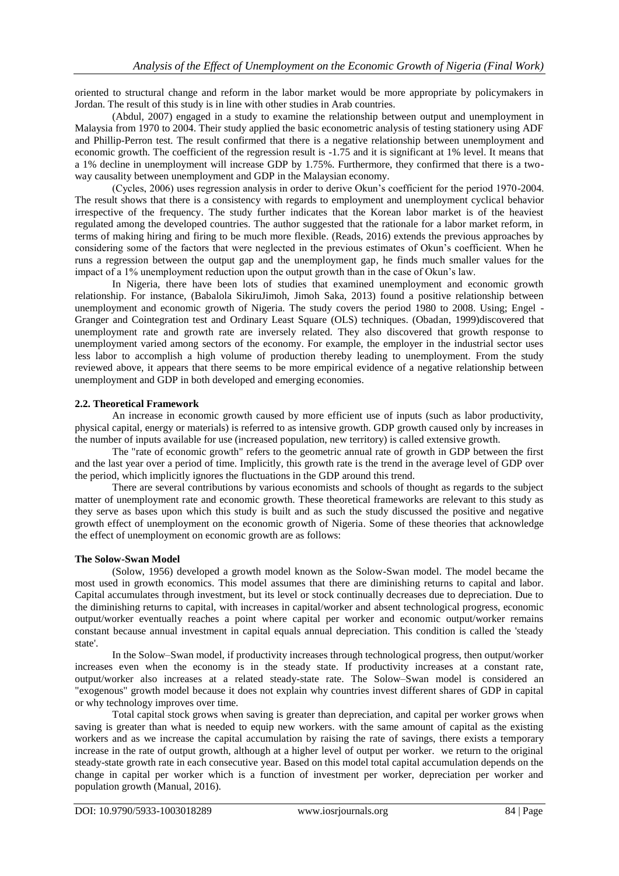oriented to structural change and reform in the labor market would be more appropriate by policymakers in Jordan. The result of this study is in line with other studies in Arab countries.

(Abdul, 2007) engaged in a study to examine the relationship between output and unemployment in Malaysia from 1970 to 2004. Their study applied the basic econometric analysis of testing stationery using ADF and Phillip-Perron test. The result confirmed that there is a negative relationship between unemployment and economic growth. The coefficient of the regression result is -1.75 and it is significant at 1% level. It means that a 1% decline in unemployment will increase GDP by 1.75%. Furthermore, they confirmed that there is a twoway causality between unemployment and GDP in the Malaysian economy.

(Cycles, 2006) uses regression analysis in order to derive Okun"s coefficient for the period 1970-2004. The result shows that there is a consistency with regards to employment and unemployment cyclical behavior irrespective of the frequency. The study further indicates that the Korean labor market is of the heaviest regulated among the developed countries. The author suggested that the rationale for a labor market reform, in terms of making hiring and firing to be much more flexible. (Reads, 2016) extends the previous approaches by considering some of the factors that were neglected in the previous estimates of Okun"s coefficient. When he runs a regression between the output gap and the unemployment gap, he finds much smaller values for the impact of a 1% unemployment reduction upon the output growth than in the case of Okun"s law.

In Nigeria, there have been lots of studies that examined unemployment and economic growth relationship. For instance, (Babalola SikiruJimoh, Jimoh Saka, 2013) found a positive relationship between unemployment and economic growth of Nigeria. The study covers the period 1980 to 2008. Using; Engel - Granger and Cointegration test and Ordinary Least Square (OLS) techniques. (Obadan, 1999)discovered that unemployment rate and growth rate are inversely related. They also discovered that growth response to unemployment varied among sectors of the economy. For example, the employer in the industrial sector uses less labor to accomplish a high volume of production thereby leading to unemployment. From the study reviewed above, it appears that there seems to be more empirical evidence of a negative relationship between unemployment and GDP in both developed and emerging economies.

#### **2.2. Theoretical Framework**

An increase in economic growth caused by more efficient use of inputs (such as labor productivity, physical capital, energy or materials) is referred to as intensive growth. GDP growth caused only by increases in the number of inputs available for use (increased population, new territory) is called extensive growth.

The "rate of economic growth" refers to the geometric annual rate of growth in GDP between the first and the last year over a period of time. Implicitly, this growth rate is the trend in the average level of GDP over the period, which implicitly ignores the fluctuations in the GDP around this trend.

There are several contributions by various economists and schools of thought as regards to the subject matter of unemployment rate and economic growth. These theoretical frameworks are relevant to this study as they serve as bases upon which this study is built and as such the study discussed the positive and negative growth effect of unemployment on the economic growth of Nigeria. Some of these theories that acknowledge the effect of unemployment on economic growth are as follows:

#### **The Solow-Swan Model**

(Solow, 1956) developed a growth model known as the Solow-Swan model. The model became the most used in growth economics. This model assumes that there are diminishing returns to capital and labor. Capital accumulates through investment, but its level or stock continually decreases due to depreciation. Due to the diminishing returns to capital, with increases in capital/worker and absent technological progress, economic output/worker eventually reaches a point where capital per worker and economic output/worker remains constant because annual investment in capital equals annual depreciation. This condition is called the 'steady state'.

In the Solow–Swan model, if productivity increases through technological progress, then output/worker increases even when the economy is in the steady state. If productivity increases at a constant rate, output/worker also increases at a related steady-state rate. The Solow–Swan model is considered an "exogenous" growth model because it does not explain why countries invest different shares of GDP in capital or why technology improves over time.

Total capital stock grows when saving is greater than depreciation, and capital per worker grows when saving is greater than what is needed to equip new workers. with the same amount of capital as the existing workers and as we increase the capital accumulation by raising the rate of savings, there exists a temporary increase in the rate of output growth, although at a higher level of output per worker. we return to the original steady-state growth rate in each consecutive year. Based on this model total capital accumulation depends on the change in capital per worker which is a function of investment per worker, depreciation per worker and population growth (Manual, 2016).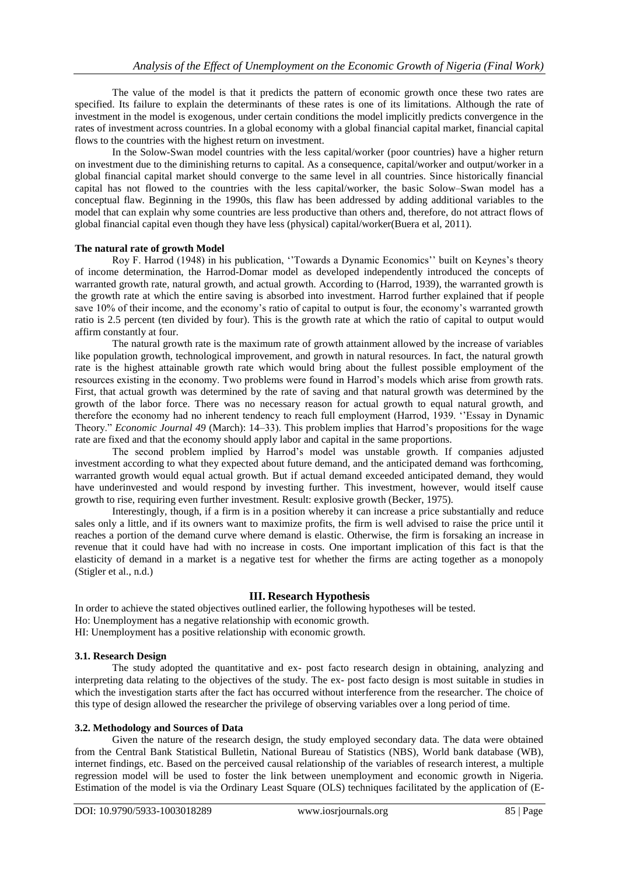The value of the model is that it predicts the pattern of economic growth once these two rates are specified. Its failure to explain the determinants of these rates is one of its limitations. Although the rate of investment in the model is exogenous, under certain conditions the model implicitly predicts convergence in the rates of investment across countries. In a global economy with a global financial capital market, financial capital flows to the countries with the highest return on investment.

In the Solow-Swan model countries with the less capital/worker (poor countries) have a higher return on investment due to the diminishing returns to capital. As a consequence, capital/worker and output/worker in a global financial capital market should converge to the same level in all countries. Since historically financial capital has not flowed to the countries with the less capital/worker, the basic Solow–Swan model has a conceptual flaw. Beginning in the 1990s, this flaw has been addressed by adding additional variables to the model that can explain why some countries are less productive than others and, therefore, do not attract flows of global financial capital even though they have less (physical) capital/worker(Buera et al, 2011).

#### **The natural rate of growth Model**

Roy F. Harrod (1948) in his publication, ""Towards a Dynamic Economics"" built on Keynes"s theory of income determination, the Harrod-Domar model as developed independently introduced the concepts of warranted growth rate, natural growth, and actual growth. According to (Harrod, 1939), the warranted growth is the growth rate at which the entire saving is absorbed into investment. Harrod further explained that if people save 10% of their income, and the economy"s ratio of capital to output is four, the economy"s warranted growth ratio is 2.5 percent (ten divided by four). This is the growth rate at which the ratio of capital to output would affirm constantly at four.

The natural growth rate is the maximum rate of growth attainment allowed by the increase of variables like population growth, technological improvement, and growth in natural resources. In fact, the natural growth rate is the highest attainable growth rate which would bring about the fullest possible employment of the resources existing in the economy. Two problems were found in Harrod"s models which arise from growth rats. First, that actual growth was determined by the rate of saving and that natural growth was determined by the growth of the labor force. There was no necessary reason for actual growth to equal natural growth, and therefore the economy had no inherent tendency to reach full employment (Harrod, 1939. "Essay in Dynamic Theory." *Economic Journal 49* (March): 14–33). This problem implies that Harrod"s propositions for the wage rate are fixed and that the economy should apply labor and capital in the same proportions.

The second problem implied by Harrod"s model was unstable growth. If companies adjusted investment according to what they expected about future demand, and the anticipated demand was forthcoming, warranted growth would equal actual growth. But if actual demand exceeded anticipated demand, they would have underinvested and would respond by investing further. This investment, however, would itself cause growth to rise, requiring even further investment. Result: explosive growth (Becker, 1975).

Interestingly, though, if a firm is in a position whereby it can increase a price substantially and reduce sales only a little, and if its owners want to maximize profits, the firm is well advised to raise the price until it reaches a portion of the demand curve where demand is elastic. Otherwise, the firm is forsaking an increase in revenue that it could have had with no increase in costs. One important implication of this fact is that the elasticity of demand in a market is a negative test for whether the firms are acting together as a monopoly (Stigler et al., n.d.)

## **III. Research Hypothesis**

In order to achieve the stated objectives outlined earlier, the following hypotheses will be tested.

Ho: Unemployment has a negative relationship with economic growth.

HI: Unemployment has a positive relationship with economic growth.

#### **3.1. Research Design**

The study adopted the quantitative and ex- post facto research design in obtaining, analyzing and interpreting data relating to the objectives of the study. The ex- post facto design is most suitable in studies in which the investigation starts after the fact has occurred without interference from the researcher. The choice of this type of design allowed the researcher the privilege of observing variables over a long period of time.

#### **3.2. Methodology and Sources of Data**

Given the nature of the research design, the study employed secondary data. The data were obtained from the Central Bank Statistical Bulletin, National Bureau of Statistics (NBS), World bank database (WB), internet findings, etc. Based on the perceived causal relationship of the variables of research interest, a multiple regression model will be used to foster the link between unemployment and economic growth in Nigeria. Estimation of the model is via the Ordinary Least Square (OLS) techniques facilitated by the application of (E-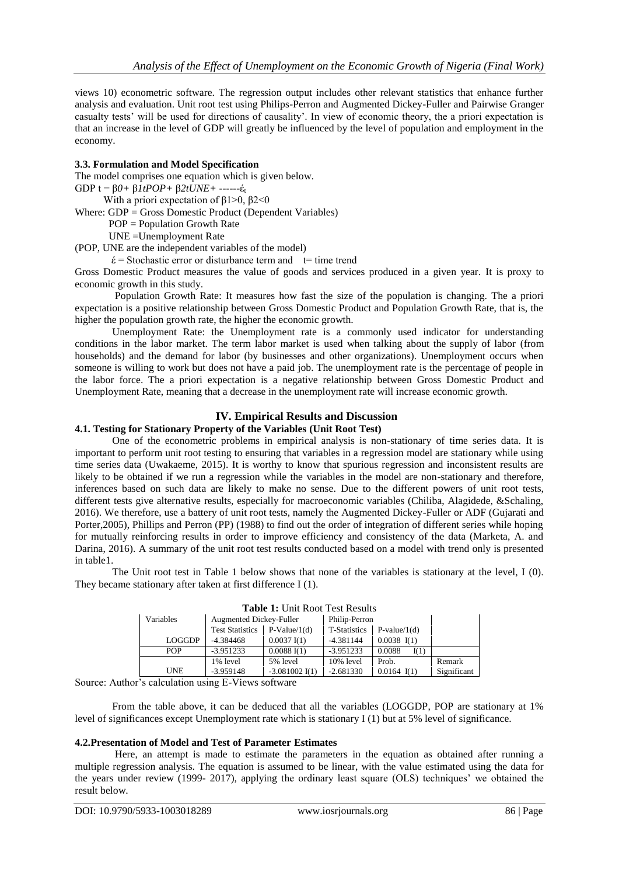views 10) econometric software. The regression output includes other relevant statistics that enhance further analysis and evaluation. Unit root test using Philips-Perron and Augmented Dickey-Fuller and Pairwise Granger casualty tests" will be used for directions of causality". In view of economic theory, the a priori expectation is that an increase in the level of GDP will greatly be influenced by the level of population and employment in the economy.

#### **3.3. Formulation and Model Specification**

The model comprises one equation which is given below.

GDP t = β*0+* β*1tPOP+* β*2tUNE+* ------έ<sup>t</sup>

With a priori expectation of  $\beta$ 1>0,  $\beta$ 2<0

Where: GDP = Gross Domestic Product (Dependent Variables)

POP = Population Growth Rate

UNE =Unemployment Rate

(POP, UNE are the independent variables of the model)

 $\acute{\epsilon}$  = Stochastic error or disturbance term and t= time trend

Gross Domestic Product measures the value of goods and services produced in a given year. It is proxy to economic growth in this study.

Population Growth Rate: It measures how fast the size of the population is changing. The a priori expectation is a positive relationship between Gross Domestic Product and Population Growth Rate, that is, the higher the population growth rate, the higher the economic growth.

Unemployment Rate: the Unemployment rate is a commonly used indicator for understanding conditions in the labor market. The term labor market is used when talking about the supply of labor (from households) and the demand for labor (by businesses and other organizations). Unemployment occurs when someone is willing to work but does not have a paid job. The unemployment rate is the percentage of people in the labor force. The a priori expectation is a negative relationship between Gross Domestic Product and Unemployment Rate, meaning that a decrease in the unemployment rate will increase economic growth.

#### **IV. Empirical Results and Discussion**

#### **4.1. Testing for Stationary Property of the Variables (Unit Root Test)**

One of the econometric problems in empirical analysis is non-stationary of time series data. It is important to perform unit root testing to ensuring that variables in a regression model are stationary while using time series data (Uwakaeme, 2015). It is worthy to know that spurious regression and inconsistent results are likely to be obtained if we run a regression while the variables in the model are non-stationary and therefore, inferences based on such data are likely to make no sense. Due to the different powers of unit root tests, different tests give alternative results, especially for macroeconomic variables (Chiliba, Alagidede, &Schaling, 2016). We therefore, use a battery of unit root tests, namely the Augmented Dickey-Fuller or ADF (Gujarati and Porter,2005), Phillips and Perron (PP) (1988) to find out the order of integration of different series while hoping for mutually reinforcing results in order to improve efficiency and consistency of the data (Marketa, A. and Darina, 2016). A summary of the unit root test results conducted based on a model with trend only is presented in table1.

The Unit root test in Table 1 below shows that none of the variables is stationary at the level, I (0). They became stationary after taken at first difference I (1).

| Variables     | Augmented Dickey-Fuller |                       | Philip-Perron |                |             |  |
|---------------|-------------------------|-----------------------|---------------|----------------|-------------|--|
|               | <b>Test Statistics</b>  | $P-Value/1(d)$        | T-Statistics  | $P-value/1(d)$ |             |  |
| <b>LOGGDP</b> | $-4.384468$             | $0.0037 \text{ I}(1)$ | $-4.381144$   | $0.0038$ I(1)  |             |  |
| <b>POP</b>    | $-3.951233$             | 0.0088 I(1)           | $-3.951233$   | 0.0088<br>I(1) |             |  |
|               | 1% level                | 5% level              | $10\%$ level  | Prob.          | Remark      |  |
| <b>UNE</b>    | $-3.959148$             | $-3.081002$ I(1)      | $-2.681330$   | $0.0164$ I(1)  | Significant |  |

**Table 1:** Unit Root Test Results

Source: Author"s calculation using E-Views software

From the table above, it can be deduced that all the variables (LOGGDP, POP are stationary at 1% level of significances except Unemployment rate which is stationary I (1) but at 5% level of significance.

#### **4.2.Presentation of Model and Test of Parameter Estimates**

Here, an attempt is made to estimate the parameters in the equation as obtained after running a multiple regression analysis. The equation is assumed to be linear, with the value estimated using the data for the years under review (1999- 2017), applying the ordinary least square (OLS) techniques" we obtained the result below.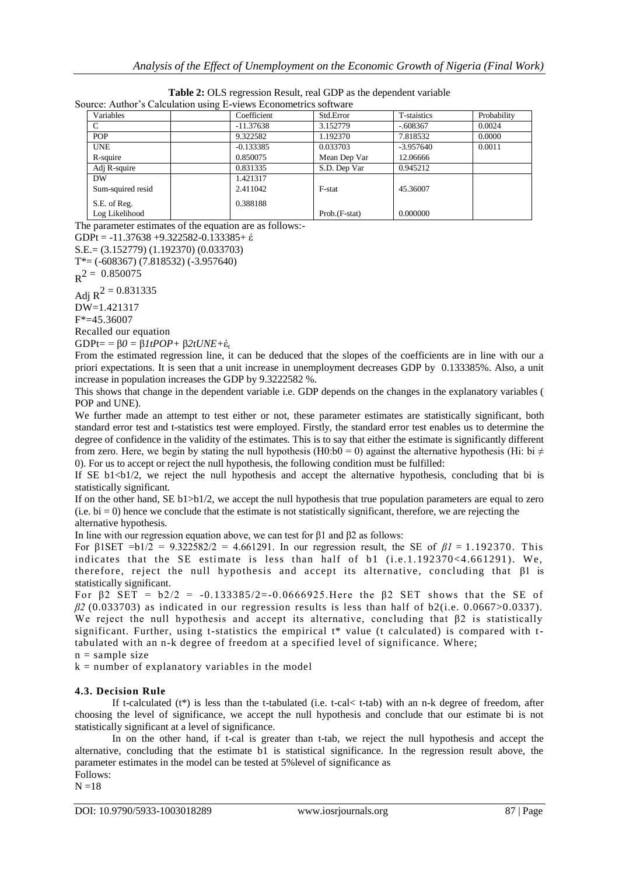| $\frac{1}{2}$ . The $\frac{1}{2}$ calculation asing $\frac{1}{2}$ . The $\frac{1}{2}$ contribution solution |               |             |             |  |  |  |
|-------------------------------------------------------------------------------------------------------------|---------------|-------------|-------------|--|--|--|
| Coefficient                                                                                                 | Std.Error     | T-staistics | Probability |  |  |  |
| $-11.37638$                                                                                                 | 3.152779      | $-.608367$  | 0.0024      |  |  |  |
| 9.322582                                                                                                    | 1.192370      | 7.818532    | 0.0000      |  |  |  |
| $-0.133385$                                                                                                 | 0.033703      | $-3.957640$ | 0.0011      |  |  |  |
| 0.850075                                                                                                    | Mean Dep Var  | 12.06666    |             |  |  |  |
| 0.831335                                                                                                    | S.D. Dep Var  | 0.945212    |             |  |  |  |
| 1.421317                                                                                                    |               |             |             |  |  |  |
| 2.411042                                                                                                    | F-stat        | 45.36007    |             |  |  |  |
| 0.388188                                                                                                    |               |             |             |  |  |  |
|                                                                                                             | Prob.(F-stat) | 0.000000    |             |  |  |  |
|                                                                                                             |               |             |             |  |  |  |

| <b>Table 2:</b> OLS regression Result, real GDP as the dependent variable |
|---------------------------------------------------------------------------|
| Source: Author's Calculation using E-views Econometrics software          |

The parameter estimates of the equation are as follows:-

GDPt = -11.37638 +9.322582-0.133385+ έ

S.E.= (3.152779) (1.192370) (0.033703) T\*= (-608367) (7.818532) (-3.957640)

 $R^2 = 0.850075$ 

Adj  $R^2 = 0.831335$ 

DW=1.421317

F\*=45.36007

Recalled our equation

GDPt= = β*0 =* β*1tPOP+* β*2tUNE+*έ<sup>t</sup>

From the estimated regression line, it can be deduced that the slopes of the coefficients are in line with our a priori expectations. It is seen that a unit increase in unemployment decreases GDP by 0.133385%. Also, a unit increase in population increases the GDP by 9.3222582 %.

This shows that change in the dependent variable i.e. GDP depends on the changes in the explanatory variables ( POP and UNE).

We further made an attempt to test either or not, these parameter estimates are statistically significant, both standard error test and t-statistics test were employed. Firstly, the standard error test enables us to determine the degree of confidence in the validity of the estimates. This is to say that either the estimate is significantly different from zero. Here, we begin by stating the null hypothesis (H0:b0 = 0) against the alternative hypothesis (Hi: bi  $\neq$ 0). For us to accept or reject the null hypothesis, the following condition must be fulfilled:

If SE  $b1$  <br/> $b1/2$ , we reject the null hypothesis and accept the alternative hypothesis, concluding that bi is statistically significant.

If on the other hand, SE b1>b1/2, we accept the null hypothesis that true population parameters are equal to zero  $(i.e. bi = 0)$  hence we conclude that the estimate is not statistically significant, therefore, we are rejecting the alternative hypothesis.

In line with our regression equation above, we can test for β1 and β2 as follows:

For  $\beta$ 1SET =b1/2 = 9.322582/2 = 4.661291. In our regression result, the SE of  $\beta$ 1 = 1.192370. This indicates that the SE estimate is less than half of b1 (i.e.1.192370<4.661291). We, therefore, reject the null hypothesis and accept its alternative, concluding that β1 is statistically significant.

For β2 SET =  $b2/2$  = -0.133385/2=-0.0666925. Here the β2 SET shows that the SE of  $\beta$ 2 (0.033703) as indicated in our regression results is less than half of b2(i.e. 0.0667>0.0337). We reject the null hypothesis and accept its alternative, concluding that β2 is statistically significant. Further, using t-statistics the empirical t\* value (t calculated) is compared with ttabulated with an n-k degree of freedom at a specified level of significance. Where;

 $n =$ sample size

 $k =$  number of explanatory variables in the model

## **4.3. Decision Rule**

If t-calculated  $(t^*)$  is less than the t-tabulated (i.e. t-cal< t-tab) with an n-k degree of freedom, after choosing the level of significance, we accept the null hypothesis and conclude that our estimate bi is not statistically significant at a level of significance.

In on the other hand, if t-cal is greater than t-tab, we reject the null hypothesis and accept the alternative, concluding that the estimate b1 is statistical significance. In the regression result above, the parameter estimates in the model can be tested at 5%level of significance as Follows:

 $N = 18$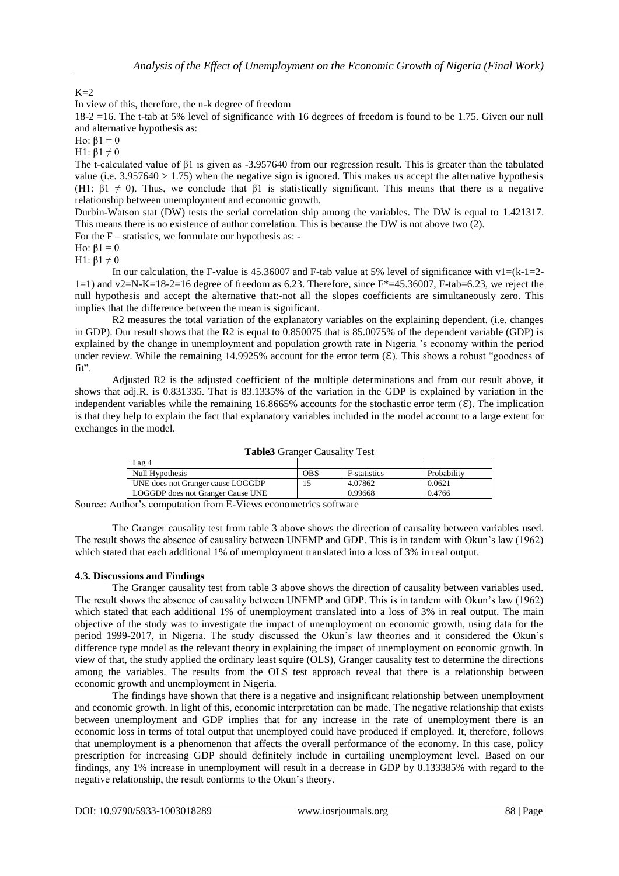# $K=2$

In view of this, therefore, the n-k degree of freedom

18-2 =16. The t-tab at 5% level of significance with 16 degrees of freedom is found to be 1.75. Given our null and alternative hypothesis as:

Ho:  $β1 = 0$ 

H1:  $\beta$ 1  $\neq$  0

The t-calculated value of β1 is given as -3.957640 from our regression result. This is greater than the tabulated value (i.e. 3.957640 > 1.75) when the negative sign is ignored. This makes us accept the alternative hypothesis (H1:  $\beta$ 1  $\neq$  0). Thus, we conclude that  $\beta$ 1 is statistically significant. This means that there is a negative relationship between unemployment and economic growth.

Durbin-Watson stat (DW) tests the serial correlation ship among the variables. The DW is equal to 1.421317. This means there is no existence of author correlation. This is because the DW is not above two (2).

For the  $F$  – statistics, we formulate our hypothesis as: -

Ho:  $β1 = 0$ 

H1:  $β1 ≠ 0$ 

In our calculation, the F-value is 45.36007 and F-tab value at 5% level of significance with  $v1=(k-1)=2-$ 1=1) and v2=N-K=18-2=16 degree of freedom as 6.23. Therefore, since  $F^*$ =45.36007, F-tab=6.23, we reject the null hypothesis and accept the alternative that:-not all the slopes coefficients are simultaneously zero. This implies that the difference between the mean is significant.

R2 measures the total variation of the explanatory variables on the explaining dependent. (i.e. changes in GDP). Our result shows that the R2 is equal to 0.850075 that is 85.0075% of the dependent variable (GDP) is explained by the change in unemployment and population growth rate in Nigeria "s economy within the period under review. While the remaining 14.9925% account for the error term  $(\mathcal{E})$ . This shows a robust "goodness of fit".

Adjusted R2 is the adjusted coefficient of the multiple determinations and from our result above, it shows that adj.R. is 0.831335. That is 83.1335% of the variation in the GDP is explained by variation in the independent variables while the remaining 16.8665% accounts for the stochastic error term  $(\mathcal{E})$ . The implication is that they help to explain the fact that explanatory variables included in the model account to a large extent for exchanges in the model.

| <b>Table3</b> Granger Causality Test |            |              |             |  |  |  |  |  |
|--------------------------------------|------------|--------------|-------------|--|--|--|--|--|
| Lag 4                                |            |              |             |  |  |  |  |  |
| Null Hypothesis                      | <b>OBS</b> | F-statistics | Probability |  |  |  |  |  |
| UNE does not Granger cause LOGGDP    | 15         | 4.07862      | 0.0621      |  |  |  |  |  |
| LOGGDP does not Granger Cause UNE    |            | 0.99668      | 0.4766      |  |  |  |  |  |

Source: Author's computation from E-Views econometrics software

The Granger causality test from table 3 above shows the direction of causality between variables used. The result shows the absence of causality between UNEMP and GDP. This is in tandem with Okun"s law (1962) which stated that each additional 1% of unemployment translated into a loss of 3% in real output.

#### **4.3. Discussions and Findings**

The Granger causality test from table 3 above shows the direction of causality between variables used. The result shows the absence of causality between UNEMP and GDP. This is in tandem with Okun"s law (1962) which stated that each additional 1% of unemployment translated into a loss of 3% in real output. The main objective of the study was to investigate the impact of unemployment on economic growth, using data for the period 1999-2017, in Nigeria. The study discussed the Okun"s law theories and it considered the Okun"s difference type model as the relevant theory in explaining the impact of unemployment on economic growth. In view of that, the study applied the ordinary least squire (OLS), Granger causality test to determine the directions among the variables. The results from the OLS test approach reveal that there is a relationship between economic growth and unemployment in Nigeria.

The findings have shown that there is a negative and insignificant relationship between unemployment and economic growth. In light of this, economic interpretation can be made. The negative relationship that exists between unemployment and GDP implies that for any increase in the rate of unemployment there is an economic loss in terms of total output that unemployed could have produced if employed. It, therefore, follows that unemployment is a phenomenon that affects the overall performance of the economy. In this case, policy prescription for increasing GDP should definitely include in curtailing unemployment level. Based on our findings, any 1% increase in unemployment will result in a decrease in GDP by 0.133385% with regard to the negative relationship, the result conforms to the Okun"s theory.